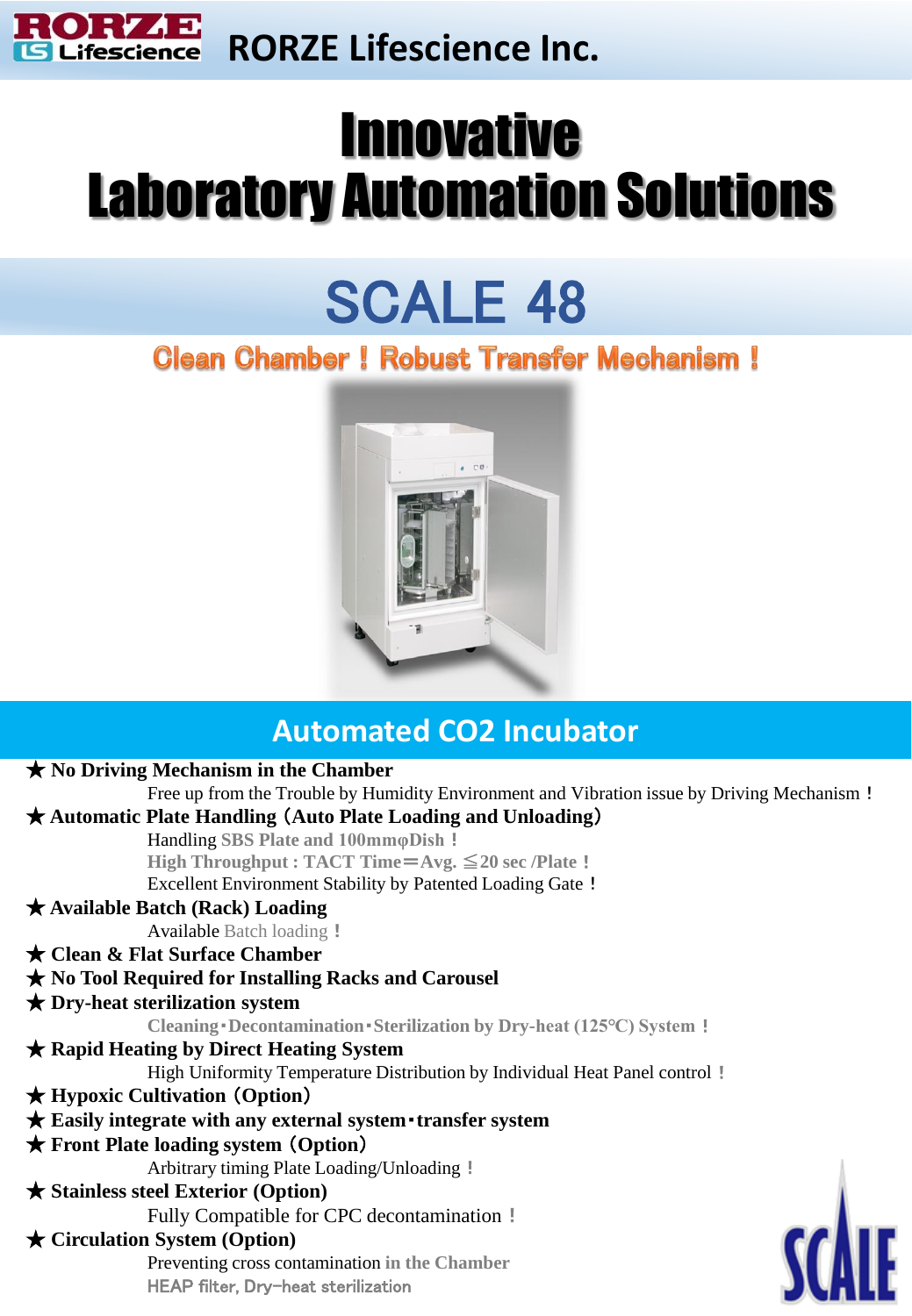

# **Innovative** Laboratory Automation Solutions

# SCALE 48

## Clean Chamber! Robust Transfer Mechanism!



## **Automated CO2 Incubator**

#### ★ **No Driving Mechanism in the Chamber** Free up from the Trouble by Humidity Environment and Vibration issue by Driving Mechanism! ★ **Automatic Plate Handling** (**Auto Plate Loading and Unloading**) Handling **SBS Plate and 100mmφDish**! **High Throughput : TACT Time**=**Avg.** ≦**20 sec /Plate**! Excellent Environment Stability by Patented Loading Gate !

### ★ **Available Batch (Rack) Loading**

Available Batch loading !

#### ★ **Clean & Flat Surface Chamber**

### ★ **No Tool Required for Installing Racks and Carousel**

#### ★ **Dry-heat sterilization system**

**Cleaning**・**Decontamination**・**Sterilization by Dry-heat (125℃) System**!

### ★ **Rapid Heating by Direct Heating System**

High Uniformity Temperature Distribution by Individual Heat Panel control!

#### ★ **Hypoxic Cultivation** (**Option**)

### ★ **Easily integrate with any external system**・**transfer system**

#### ★ **Front Plate loading system** (**Option**)

Arbitrary timing Plate Loading/Unloading!

#### ★ **Stainless steel Exterior (Option)**

Fully Compatible for CPC decontamination !

### ★ **Circulation System (Option)**

Preventing cross contamination **in the Chamber** HEAP filter, Dry-heat sterilization